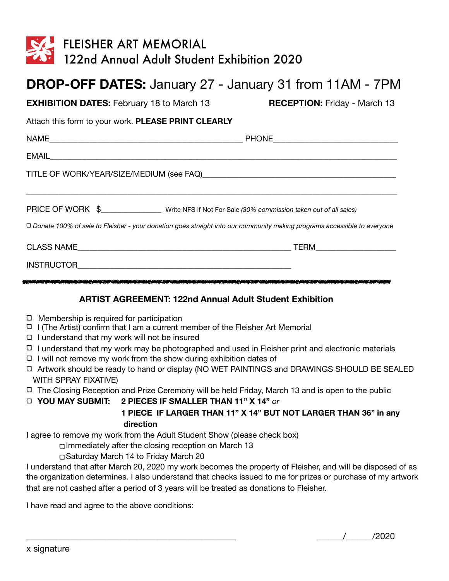| <b>FLEISHER ART MEMORIAL</b><br>122nd Annual Adult Student Exhibition 2020                                                                                                                                                           |                                     |
|--------------------------------------------------------------------------------------------------------------------------------------------------------------------------------------------------------------------------------------|-------------------------------------|
| <b>DROP-OFF DATES:</b> January 27 - January 31 from 11AM - 7PM                                                                                                                                                                       |                                     |
| <b>EXHIBITION DATES:</b> February 18 to March 13                                                                                                                                                                                     | <b>RECEPTION: Friday - March 13</b> |
| Attach this form to your work. PLEASE PRINT CLEARLY                                                                                                                                                                                  |                                     |
|                                                                                                                                                                                                                                      |                                     |
|                                                                                                                                                                                                                                      |                                     |
|                                                                                                                                                                                                                                      |                                     |
| PRICE OF WORK \$_____________________ Write NFS if Not For Sale (30% commission taken out of all sales)<br>□ Donate 100% of sale to Fleisher - your donation goes straight into our community making programs accessible to everyone |                                     |
|                                                                                                                                                                                                                                      |                                     |
|                                                                                                                                                                                                                                      |                                     |

## **ARTIST AGREEMENT: 122nd Annual Adult Student Exhibition**

- $\Box$  Membership is required for participation
- $\Box$  I (The Artist) confirm that I am a current member of the Fleisher Art Memorial
- I understand that my work will not be insured
- I understand that my work may be photographed and used in Fleisher print and electronic materials
- $\Box$  I will not remove my work from the show during exhibition dates of
- Artwork should be ready to hand or display (NO WET PAINTINGS and DRAWINGS SHOULD BE SEALED WITH SPRAY FIXATIVE)
- The Closing Reception and Prize Ceremony will be held Friday, March 13 and is open to the public

**YOU MAY SUBMIT: 2 PIECES IF SMALLER THAN 11" X 14"** *or* 

## **1 PIECE IF LARGER THAN 11" X 14" BUT NOT LARGER THAN 36" in any direction**

I agree to remove my work from the Adult Student Show (please check box)

Immediately after the closing reception on March 13

Saturday March 14 to Friday March 20

I understand that after March 20, 2020 my work becomes the property of Fleisher, and will be disposed of as the organization determines. I also understand that checks issued to me for prizes or purchase of my artwork that are not cashed after a period of 3 years will be treated as donations to Fleisher.

I have read and agree to the above conditions:

 $\frac{1}{2020}$